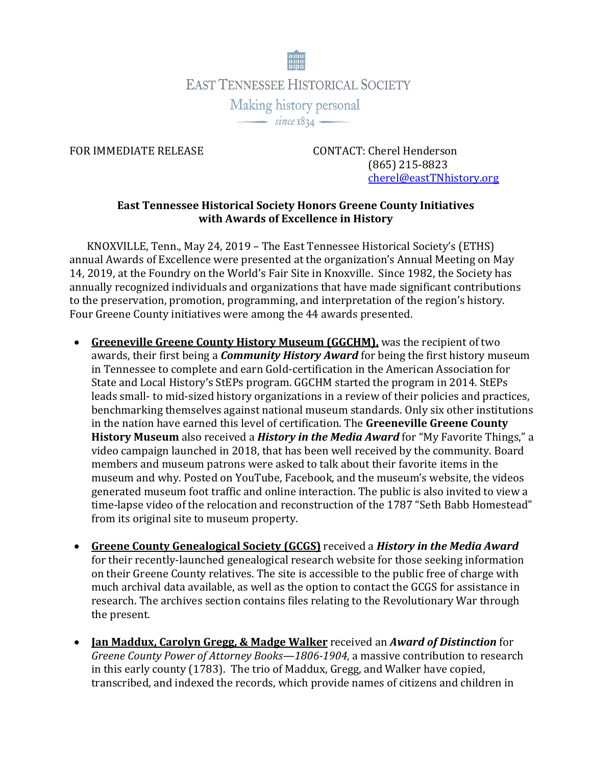

FOR IMMEDIATE RELEASE CONTACT: Cherel Henderson (865) 215-8823 [cherel@eastTNhistory.org](mailto:cherel@eastTNhistory.org)

## **East Tennessee Historical Society Honors Greene County Initiatives with Awards of Excellence in History**

KNOXVILLE, Tenn., May 24, 2019 – The East Tennessee Historical Society's (ETHS) annual Awards of Excellence were presented at the organization's Annual Meeting on May 14, 2019, at the Foundry on the World's Fair Site in Knoxville. Since 1982, the Society has annually recognized individuals and organizations that have made significant contributions to the preservation, promotion, programming, and interpretation of the region's history. Four Greene County initiatives were among the 44 awards presented.

- **Greeneville Greene County History Museum (GGCHM),** was the recipient of two awards, their first being a *Community History Award* for being the first history museum in Tennessee to complete and earn Gold-certification in the American Association for State and Local History's StEPs program. GGCHM started the program in 2014. StEPs leads small- to mid-sized history organizations in a review of their policies and practices, benchmarking themselves against national museum standards. Only six other institutions in the nation have earned this level of certification. The **Greeneville Greene County History Museum** also received a *History in the Media Award* for "My Favorite Things," a video campaign launched in 2018, that has been well received by the community. Board members and museum patrons were asked to talk about their favorite items in the museum and why. Posted on YouTube, Facebook, and the museum's website, the videos generated museum foot traffic and online interaction. The public is also invited to view a time-lapse video of the relocation and reconstruction of the 1787 "Seth Babb Homestead" from its original site to museum property.
- **Greene County Genealogical Society (GCGS)** received a *History in the Media Award*  for their recently-launched genealogical research website for those seeking information on their Greene County relatives. The site is accessible to the public free of charge with much archival data available, as well as the option to contact the GCGS for assistance in research. The archives section contains files relating to the Revolutionary War through the present.
- **Jan Maddux, Carolyn Gregg, & Madge Walker** received an *Award of Distinction* for *Greene County Power of Attorney Books—1806-1904,* a massive contribution to research in this early county (1783). The trio of Maddux, Gregg, and Walker have copied, transcribed, and indexed the records, which provide names of citizens and children in